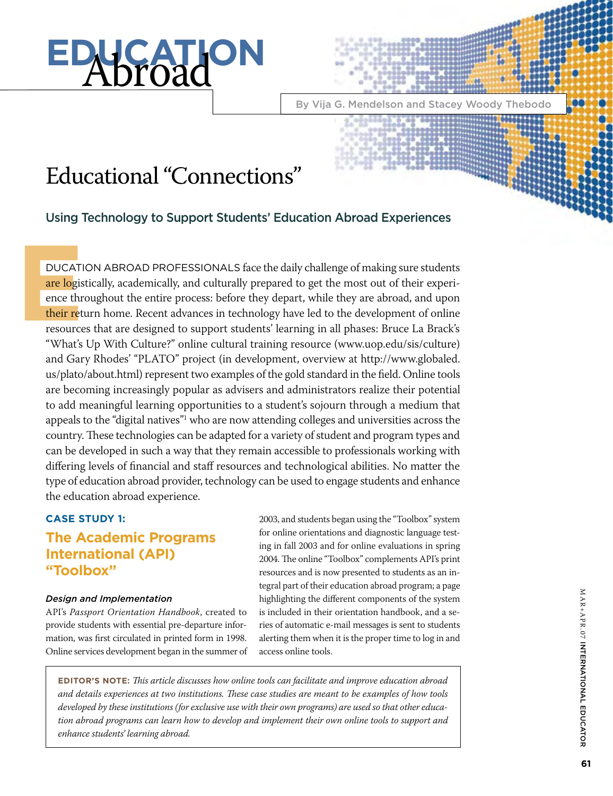# **EDUCATION**

By Vija G. Mendelson and Stacey Woody Thebodo

# Educational "Connections"

Using Technology to Support Students' Education Abroad Experiences

**EXECUTE:**<br> **EXECUTE:**<br> **EXECUTE:**<br> **EXECUTE:**<br> **EXECUTE:**<br> **EXECUTE:**<br> **EXECUTE:**<br> **EXECUTE:**<br> **EXECUTE:**<br> **EXECUTE:**<br> **EXECUTE:**<br> **EXECUTE:** DUCATION ABROAD PROFESSIONALS face the daily challenge of making sure students are logistically, academically, and culturally prepared to get the most out of their experience throughout the entire process: before they depart, while they are abroad, and upon their return home. Recent advances in technology have led to the development of online resources that are designed to support students' learning in all phases: Bruce La Brack's "What's Up With Culture?" online cultural training resource (www.uop.edu/sis/culture) and Gary Rhodes' "PLATO" project (in development, overview at http://www.globaled. us/plato/about.html) represent two examples of the gold standard in the field. Online tools are becoming increasingly popular as advisers and administrators realize their potential to add meaningful learning opportunities to a student's sojourn through a medium that appeals to the "digital natives"1 who are now attending colleges and universities across the country. These technologies can be adapted for a variety of student and program types and can be developed in such a way that they remain accessible to professionals working with differing levels of financial and staff resources and technological abilities. No matter the type of education abroad provider, technology can be used to engage students and enhance the education abroad experience.

# **Case Study 1:**

# **The Academic Programs International (API) "Toolbox"**

## *Design and Implementation*

API's *Passport Orientation Handbook*, created to provide students with essential pre-departure information, was first circulated in printed form in 1998. Online services development began in the summer of

2003, and students began using the "Toolbox" system for online orientations and diagnostic language testing in fall 2003 and for online evaluations in spring 2004. The online "Toolbox" complements API's print resources and is now presented to students as an integral part of their education abroad program; a page highlighting the different components of the system is included in their orientation handbook, and a series of automatic e-mail messages is sent to students alerting them when it is the proper time to log in and access online tools.

**Editor's Note:** *This article discusses how online tools can facilitate and improve education abroad and details experiences at two institutions. These case studies are meant to be examples of how tools developed by these institutions (for exclusive use with their own programs) are used so that other education abroad programs can learn how to develop and implement their own online tools to support and enhance students' learning abroad.*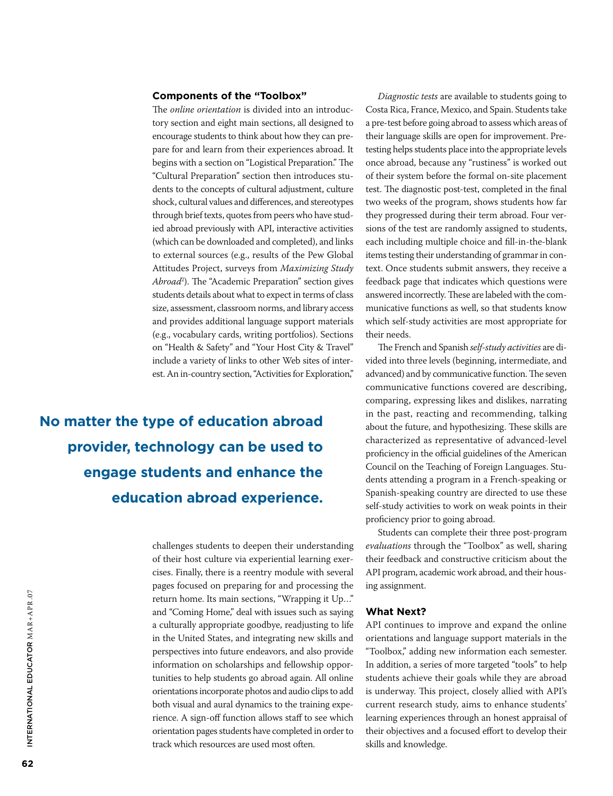#### **Components of the "Toolbox"**

The *online orientation* is divided into an introductory section and eight main sections, all designed to encourage students to think about how they can prepare for and learn from their experiences abroad. It begins with a section on "Logistical Preparation." The "Cultural Preparation" section then introduces students to the concepts of cultural adjustment, culture shock, cultural values and differences, and stereotypes through brief texts, quotes from peers who have studied abroad previously with API, interactive activities (which can be downloaded and completed), and links to external sources (e.g., results of the Pew Global Attitudes Project, surveys from *Maximizing Study Abroad*<sup>2</sup> ). The "Academic Preparation" section gives students details about what to expect in terms of class size, assessment, classroom norms, and library access and provides additional language support materials (e.g., vocabulary cards, writing portfolios). Sections on "Health & Safety" and "Your Host City & Travel" include a variety of links to other Web sites of interest. An in-country section, "Activities for Exploration,"

**No matter the type of education abroad provider, technology can be used to engage students and enhance the education abroad experience.** 

> challenges students to deepen their understanding of their host culture via experiential learning exercises. Finally, there is a reentry module with several pages focused on preparing for and processing the return home. Its main sections, "Wrapping it Up…" and "Coming Home," deal with issues such as saying a culturally appropriate goodbye, readjusting to life in the United States, and integrating new skills and perspectives into future endeavors, and also provide information on scholarships and fellowship opportunities to help students go abroad again. All online orientations incorporate photos and audio clips to add both visual and aural dynamics to the training experience. A sign-off function allows staff to see which orientation pages students have completed in order to track which resources are used most often.

*Diagnostic tests* are available to students going to Costa Rica, France, Mexico, and Spain. Students take a pre-test before going abroad to assess which areas of their language skills are open for improvement. Pretesting helps students place into the appropriate levels once abroad, because any "rustiness" is worked out of their system before the formal on-site placement test. The diagnostic post-test, completed in the final two weeks of the program, shows students how far they progressed during their term abroad. Four versions of the test are randomly assigned to students, each including multiple choice and fill-in-the-blank items testing their understanding of grammar in context. Once students submit answers, they receive a feedback page that indicates which questions were answered incorrectly. These are labeled with the communicative functions as well, so that students know which self-study activities are most appropriate for their needs.

The French and Spanish *self-study activities* are divided into three levels (beginning, intermediate, and advanced) and by communicative function. The seven communicative functions covered are describing, comparing, expressing likes and dislikes, narrating in the past, reacting and recommending, talking about the future, and hypothesizing. These skills are characterized as representative of advanced-level proficiency in the official guidelines of the American Council on the Teaching of Foreign Languages. Students attending a program in a French-speaking or Spanish-speaking country are directed to use these self-study activities to work on weak points in their proficiency prior to going abroad.

Students can complete their three post-program *evaluations* through the "Toolbox" as well, sharing their feedback and constructive criticism about the API program, academic work abroad, and their housing assignment.

#### **What Next?**

API continues to improve and expand the online orientations and language support materials in the "Toolbox," adding new information each semester. In addition, a series of more targeted "tools" to help students achieve their goals while they are abroad is underway. This project, closely allied with API's current research study, aims to enhance students' learning experiences through an honest appraisal of their objectives and a focused effort to develop their skills and knowledge.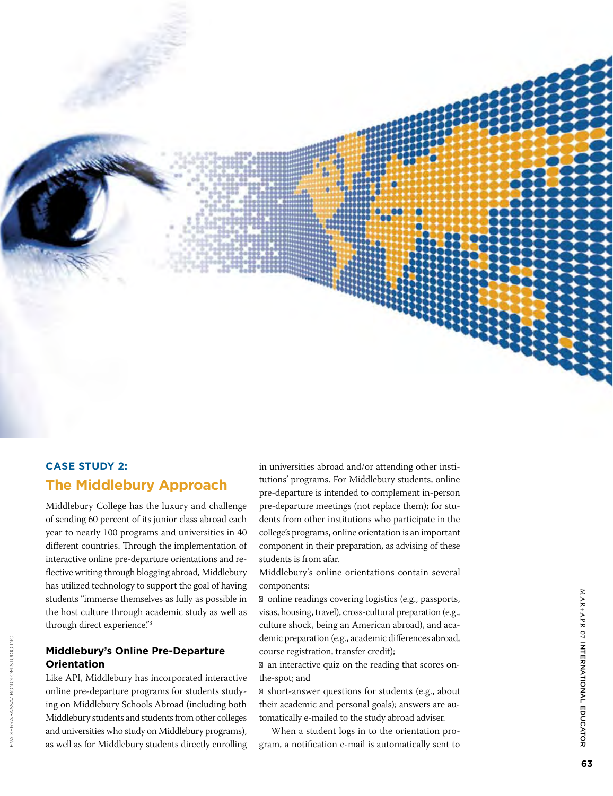

# **Case Study 2: The Middlebury Approach**

Middlebury College has the luxury and challenge of sending 60 percent of its junior class abroad each year to nearly 100 programs and universities in 40 different countries. Through the implementation of interactive online pre-departure orientations and re flective writing through blogging abroad, Middlebury has utilized technology to support the goal of having students "immerse themselves as fully as possible in the host culture through academic study as well as through direct experience." 3

## **Middlebury's Online Pre-Departure Orientation**

EVA SERRABASSA/BONOTOM STUDIO INC

a Serrabassa/ bonotom studio inc

Like API, Middlebury has incorporated interactive online pre-departure programs for students study ing on Middlebury Schools Abroad (including both Middlebury students and students from other colleges and universities who study on Middlebury programs), as well as for Middlebury students directly enrolling in universities abroad and/or attending other insti tutions' programs. For Middlebury students, online pre-departure is intended to complement in-person pre-departure meetings (not replace them); for stu dents from other institutions who participate in the college's programs, online orientation is an important component in their preparation, as advising of these students is from afar.

Middlebury's online orientations contain several components:

online readings covering logistics (e.g., passports, visas, housing, travel), cross-cultural preparation (e.g., culture shock, being an American abroad), and aca demic preparation (e.g., academic differences abroad, course registration, transfer credit);

an interactive quiz on the reading that scores onthe-spot; and

short-answer questions for students (e.g., about their academic and personal goals); answers are au tomatically e-mailed to the study abroad adviser.

When a student logs in to the orientation pro gram, a notification e-mail is automatically sent to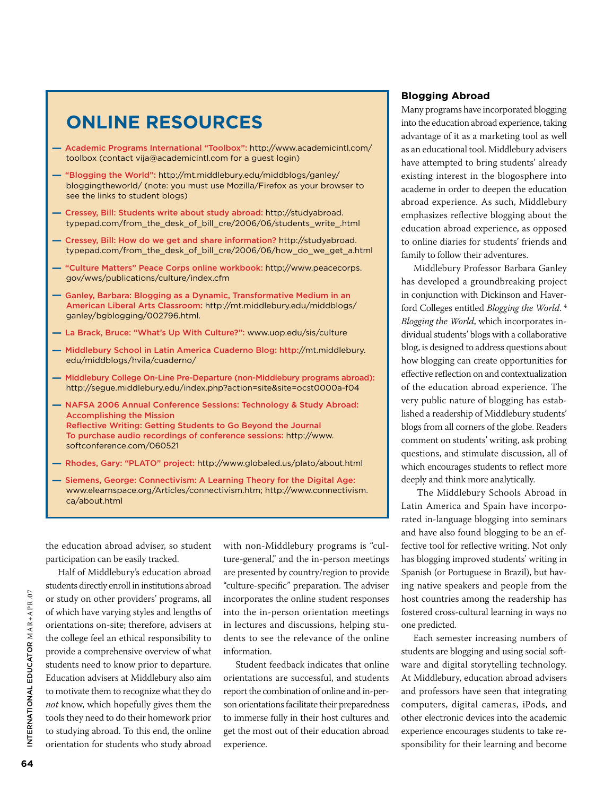# **Online Resources**

- Academic Programs International "Toolbox": http://www.academicintl.com/ toolbox (contact vija@academicintl.com for a guest login)
- "Blogging the World": http://mt.middlebury.edu/middblogs/ganley/ bloggingtheworld/ (note: you must use Mozilla/Firefox as your browser to see the links to student blogs)
- Cressey, Bill: Students write about study abroad: http://studyabroad. typepad.com/from\_the\_desk\_of\_bill\_cre/2006/06/students\_write\_.html
- Cressey, Bill: How do we get and share information? http://studyabroad. typepad.com/from\_the\_desk\_of\_bill\_cre/2006/06/how\_do\_we\_get\_a.html
- "Culture Matters" Peace Corps online workbook: http://www.peacecorps. gov/wws/publications/culture/index.cfm
- Ganley, Barbara: Blogging as a Dynamic, Transformative Medium in an American Liberal Arts Classroom: http://mt.middlebury.edu/middblogs/ ganley/bgblogging/002796.html.
- La Brack, Bruce: "What's Up With Culture?": www.uop.edu/sis/culture
- Middlebury School in Latin America Cuaderno Blog: http://mt.middlebury. edu/middblogs/hvila/cuaderno/
- Middlebury College On-Line Pre-Departure (non-Middlebury programs abroad): http://segue.middlebury.edu/index.php?action=site&site=ocst0000a-f04
- NAFSA 2006 Annual Conference Sessions: Technology & Study Abroad: Accomplishing the Mission Reflective Writing: Getting Students to Go Beyond the Journal To purchase audio recordings of conference sessions: http://www. softconference.com/060521
- Rhodes, Gary: "PLATO" project: http://www.globaled.us/plato/about.html
- Siemens, George: Connectivism: A Learning Theory for the Digital Age: www.elearnspace.org/Articles/connectivism.htm; http://www.connectivism. ca/about.html

the education abroad adviser, so student participation can be easily tracked.

Half of Middlebury's education abroad students directly enroll in institutions abroad or study on other providers' programs, all of which have varying styles and lengths of orientations on-site; therefore, advisers at the college feel an ethical responsibility to provide a comprehensive overview of what students need to know prior to departure. Education advisers at Middlebury also aim to motivate them to recognize what they do *not* know, which hopefully gives them the tools they need to do their homework prior to studying abroad. To this end, the online orientation for students who study abroad

with non-Middlebury programs is "culture-general," and the in-person meetings are presented by country/region to provide "culture-specific" preparation. The adviser incorporates the online student responses into the in-person orientation meetings in lectures and discussions, helping students to see the relevance of the online information.

Student feedback indicates that online orientations are successful, and students report the combination of online and in-person orientations facilitate their preparedness to immerse fully in their host cultures and get the most out of their education abroad experience.

#### **Blogging Abroad**

Many programs have incorporated blogging into the education abroad experience, taking advantage of it as a marketing tool as well as an educational tool. Middlebury advisers have attempted to bring students' already existing interest in the blogosphere into academe in order to deepen the education abroad experience. As such, Middlebury emphasizes reflective blogging about the education abroad experience, as opposed to online diaries for students' friends and family to follow their adventures.

Middlebury Professor Barbara Ganley has developed a groundbreaking project in conjunction with Dickinson and Haverford Colleges entitled *Blogging the World*. 4 *Blogging the World*, which incorporates individual students' blogs with a collaborative blog, is designed to address questions about how blogging can create opportunities for effective reflection on and contextualization of the education abroad experience. The very public nature of blogging has established a readership of Middlebury students' blogs from all corners of the globe. Readers comment on students' writing, ask probing questions, and stimulate discussion, all of which encourages students to reflect more deeply and think more analytically.

 The Middlebury Schools Abroad in Latin America and Spain have incorporated in-language blogging into seminars and have also found blogging to be an effective tool for reflective writing. Not only has blogging improved students' writing in Spanish (or Portuguese in Brazil), but having native speakers and people from the host countries among the readership has fostered cross-cultural learning in ways no one predicted.

Each semester increasing numbers of students are blogging and using social software and digital storytelling technology. At Middlebury, education abroad advisers and professors have seen that integrating computers, digital cameras, iPods, and other electronic devices into the academic experience encourages students to take responsibility for their learning and become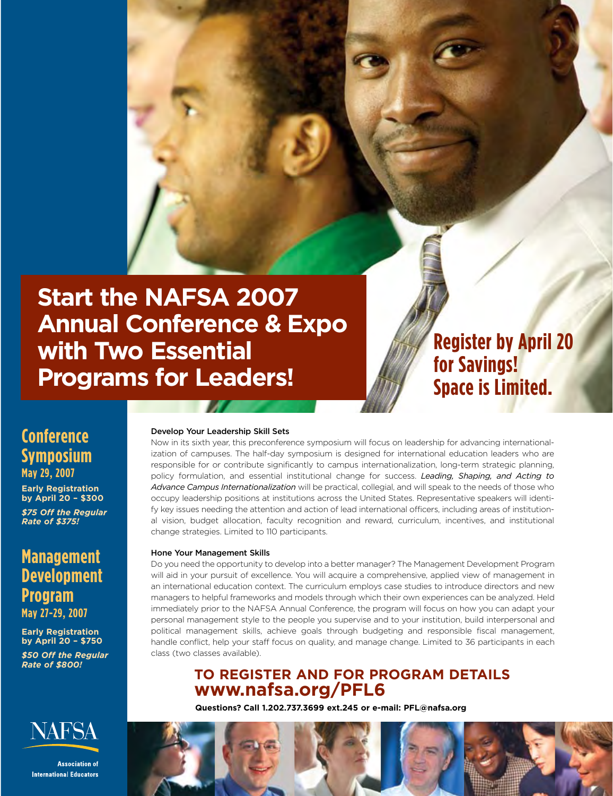

**Register by April 20 for Savings! Space is Limited.**

# **Conference Symposium May 29, 2007**

**Early Registration by April 20 – \$300**

*\$75 Off the Regular Rate of \$375!*

# **Management Development Program May 27-29, 2007**

**Early Registration by April 20 – \$750** *\$50 Off the Regular Rate of \$800!*



**Association of International Educators** 

#### Develop Your Leadership Skill Sets

Now in its sixth year, this preconference symposium will focus on leadership for advancing internationalization of campuses. The half-day symposium is designed for international education leaders who are responsible for or contribute significantly to campus internationalization, long-term strategic planning, policy formulation, and essential institutional change for success. *Leading, Shaping, and Acting to Advance Campus Internationalization* will be practical, collegial, and will speak to the needs of those who occupy leadership positions at institutions across the United States. Representative speakers will identify key issues needing the attention and action of lead international officers, including areas of institutional vision, budget allocation, faculty recognition and reward, curriculum, incentives, and institutional change strategies. Limited to 110 participants.

House Programs for Leaders

#### Hone Your Management Skills

Do you need the opportunity to develop into a better manager? The Management Development Program will aid in your pursuit of excellence. You will acquire a comprehensive, applied view of management in an international education context. The curriculum employs case studies to introduce directors and new managers to helpful frameworks and models through which their own experiences can be analyzed. Held immediately prior to the NAFSA Annual Conference, the program will focus on how you can adapt your personal management style to the people you supervise and to your institution, build interpersonal and political management skills, achieve goals through budgeting and responsible fiscal management, handle conflict, help your staff focus on quality, and manage change. Limited to 36 participants in each class (two classes available).

# **TO REGISTER AND FOR PROGRAM DETAILS www.nafsa.org/PFL6**

**Questions? Call 1.202.737.3699 ext.245 or e-mail: PFL@nafsa.org**